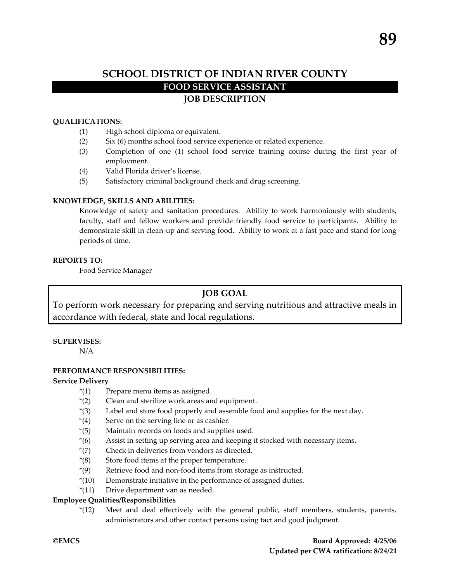# **QUALIFICATIONS:**

- (1) High school diploma or equivalent.
- (2) Six (6) months school food service experience or related experience.
- (3) Completion of one (1) school food service training course during the first year of employment.
- (4) Valid Florida driver's license.
- (5) Satisfactory criminal background check and drug screening.

## **KNOWLEDGE, SKILLS AND ABILITIES:**

Knowledge of safety and sanitation procedures. Ability to work harmoniously with students, faculty, staff and fellow workers and provide friendly food service to participants. Ability to demonstrate skill in clean-up and serving food. Ability to work at a fast pace and stand for long periods of time.

### **REPORTS TO:**

Food Service Manager

# **JOB GOAL**

To perform work necessary for preparing and serving nutritious and attractive meals in accordance with federal, state and local regulations.

### **SUPERVISES:**

N/A

# **PERFORMANCE RESPONSIBILITIES:**

### **Service Delivery**

- \*(1) Prepare menu items as assigned.
- \*(2) Clean and sterilize work areas and equipment.
- \*(3) Label and store food properly and assemble food and supplies for the next day.
- $*(4)$  Serve on the serving line or as cashier.
- \*(5) Maintain records on foods and supplies used.
- \*(6) Assist in setting up serving area and keeping it stocked with necessary items.
- \*(7) Check in deliveries from vendors as directed.
- \*(8) Store food items at the proper temperature.
- \*(9) Retrieve food and non-food items from storage as instructed.
- \*(10) Demonstrate initiative in the performance of assigned duties.
- \*(11) Drive department van as needed.

# **Employee Qualities/Responsibilities**

\*(12) Meet and deal effectively with the general public, staff members, students, parents, administrators and other contact persons using tact and good judgment.